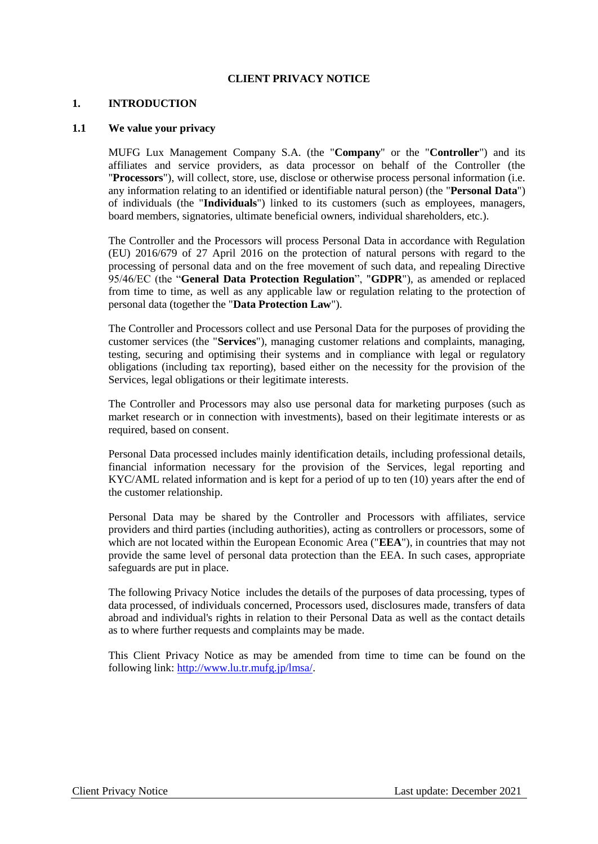### **CLIENT PRIVACY NOTICE**

#### **1. INTRODUCTION**

#### **1.1 We value your privacy**

MUFG Lux Management Company S.A. (the "**Company**" or the "**Controller**") and its affiliates and service providers, as data processor on behalf of the Controller (the "**Processors**"), will collect, store, use, disclose or otherwise process personal information (i.e. any information relating to an identified or identifiable natural person) (the "**Personal Data**") of individuals (the "**Individuals**") linked to its customers (such as employees, managers, board members, signatories, ultimate beneficial owners, individual shareholders, etc.).

The Controller and the Processors will process Personal Data in accordance with Regulation (EU) 2016/679 of 27 April 2016 on the protection of natural persons with regard to the processing of personal data and on the free movement of such data, and repealing Directive 95/46/EC (the "**General Data Protection Regulation**", "**GDPR**"), as amended or replaced from time to time, as well as any applicable law or regulation relating to the protection of personal data (together the "**Data Protection Law**").

The Controller and Processors collect and use Personal Data for the purposes of providing the customer services (the "**Services**"), managing customer relations and complaints, managing, testing, securing and optimising their systems and in compliance with legal or regulatory obligations (including tax reporting), based either on the necessity for the provision of the Services, legal obligations or their legitimate interests.

The Controller and Processors may also use personal data for marketing purposes (such as market research or in connection with investments), based on their legitimate interests or as required, based on consent.

Personal Data processed includes mainly identification details, including professional details, financial information necessary for the provision of the Services, legal reporting and KYC/AML related information and is kept for a period of up to ten (10) years after the end of the customer relationship.

Personal Data may be shared by the Controller and Processors with affiliates, service providers and third parties (including authorities), acting as controllers or processors, some of which are not located within the European Economic Area ("**EEA**"), in countries that may not provide the same level of personal data protection than the EEA. In such cases, appropriate safeguards are put in place.

The following Privacy Notice includes the details of the purposes of data processing, types of data processed, of individuals concerned, Processors used, disclosures made, transfers of data abroad and individual's rights in relation to their Personal Data as well as the contact details as to where further requests and complaints may be made.

This Client Privacy Notice as may be amended from time to time can be found on the following link: [http://www.lu.tr.mufg.jp/lmsa/.](http://www.lu.tr.mufg.jp/lmsa/)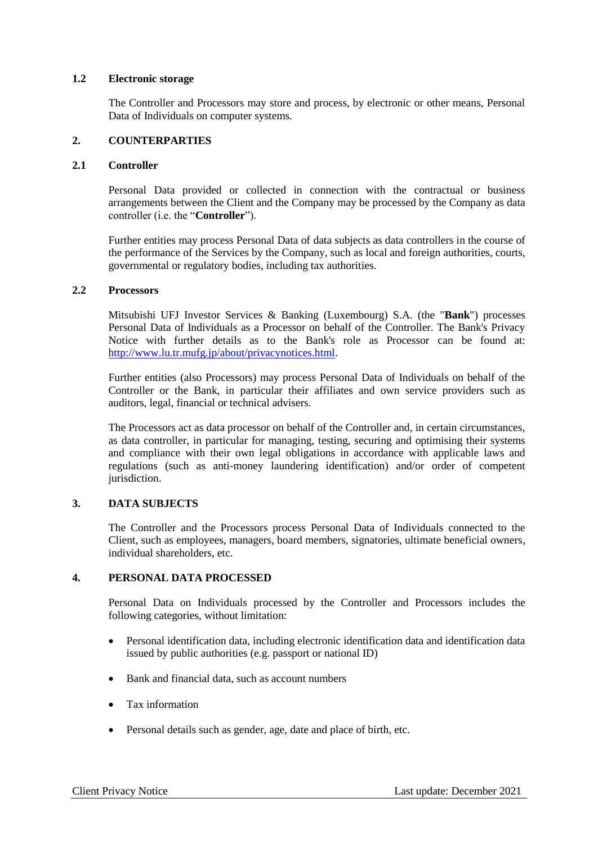### **1.2 Electronic storage**

The Controller and Processors may store and process, by electronic or other means, Personal Data of Individuals on computer systems.

## **2. COUNTERPARTIES**

### **2.1 Controller**

Personal Data provided or collected in connection with the contractual or business arrangements between the Client and the Company may be processed by the Company as data controller (i.e. the "**Controller**").

Further entities may process Personal Data of data subjects as data controllers in the course of the performance of the Services by the Company, such as local and foreign authorities, courts, governmental or regulatory bodies, including tax authorities.

### **2.2 Processors**

Mitsubishi UFJ Investor Services & Banking (Luxembourg) S.A. (the "**Bank**") processes Personal Data of Individuals as a Processor on behalf of the Controller. The Bank's Privacy Notice with further details as to the Bank's role as Processor can be found at: [http://www.lu.tr.mufg.jp/about/privacynotices.html.](http://www.lu.tr.mufg.jp/about/privacynotices.html)

Further entities (also Processors) may process Personal Data of Individuals on behalf of the Controller or the Bank, in particular their affiliates and own service providers such as auditors, legal, financial or technical advisers.

The Processors act as data processor on behalf of the Controller and, in certain circumstances, as data controller, in particular for managing, testing, securing and optimising their systems and compliance with their own legal obligations in accordance with applicable laws and regulations (such as anti-money laundering identification) and/or order of competent jurisdiction.

# **3. DATA SUBJECTS**

The Controller and the Processors process Personal Data of Individuals connected to the Client, such as employees, managers, board members, signatories, ultimate beneficial owners, individual shareholders, etc.

# **4. PERSONAL DATA PROCESSED**

Personal Data on Individuals processed by the Controller and Processors includes the following categories, without limitation:

- Personal identification data, including electronic identification data and identification data issued by public authorities (e.g. passport or national ID)
- Bank and financial data, such as account numbers
- Tax information
- Personal details such as gender, age, date and place of birth, etc.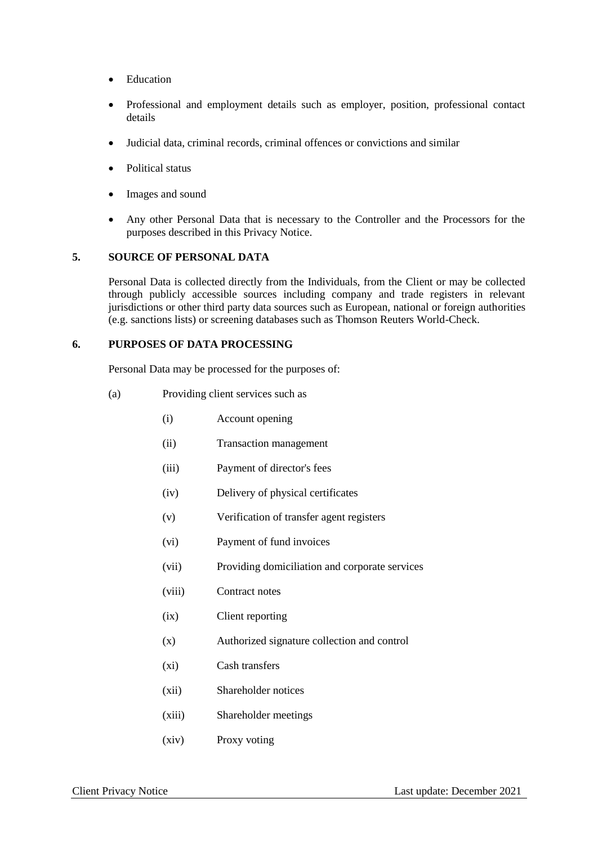- Education
- Professional and employment details such as employer, position, professional contact details
- Judicial data, criminal records, criminal offences or convictions and similar
- Political status
- Images and sound
- Any other Personal Data that is necessary to the Controller and the Processors for the purposes described in this Privacy Notice.

### **5. SOURCE OF PERSONAL DATA**

Personal Data is collected directly from the Individuals, from the Client or may be collected through publicly accessible sources including company and trade registers in relevant jurisdictions or other third party data sources such as European, national or foreign authorities (e.g. sanctions lists) or screening databases such as Thomson Reuters World-Check.

### **6. PURPOSES OF DATA PROCESSING**

Personal Data may be processed for the purposes of:

- (a) Providing client services such as
	- (i) Account opening
	- (ii) Transaction management
	- (iii) Payment of director's fees
	- (iv) Delivery of physical certificates
	- (v) Verification of transfer agent registers
	- (vi) Payment of fund invoices
	- (vii) Providing domiciliation and corporate services
	- (viii) Contract notes
	- (ix) Client reporting
	- (x) Authorized signature collection and control
	- (xi) Cash transfers
	- (xii) Shareholder notices
	- (xiii) Shareholder meetings
	- (xiv) Proxy voting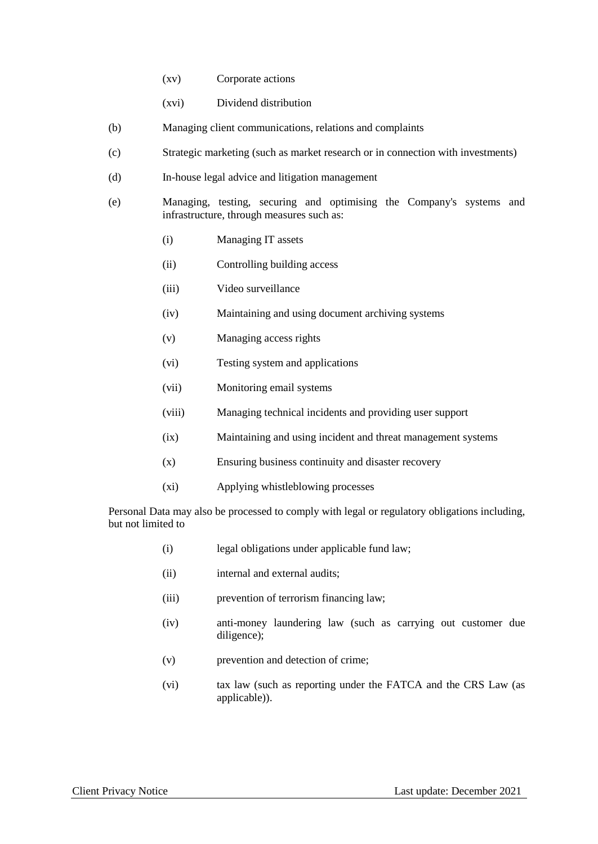- (xv) Corporate actions
- (xvi) Dividend distribution
- (b) Managing client communications, relations and complaints
- (c) Strategic marketing (such as market research or in connection with investments)
- (d) In-house legal advice and litigation management
- (e) Managing, testing, securing and optimising the Company's systems and infrastructure, through measures such as:
	- (i) Managing IT assets
	- (ii) Controlling building access
	- (iii) Video surveillance
	- (iv) Maintaining and using document archiving systems
	- (v) Managing access rights
	- (vi) Testing system and applications
	- (vii) Monitoring email systems
	- (viii) Managing technical incidents and providing user support
	- (ix) Maintaining and using incident and threat management systems
	- (x) Ensuring business continuity and disaster recovery
	- (xi) Applying whistleblowing processes

Personal Data may also be processed to comply with legal or regulatory obligations including, but not limited to

- (i) legal obligations under applicable fund law;
- (ii) internal and external audits;
- (iii) prevention of terrorism financing law;
- (iv) anti-money laundering law (such as carrying out customer due diligence);
- (v) prevention and detection of crime;
- (vi) tax law (such as reporting under the FATCA and the CRS Law (as applicable)).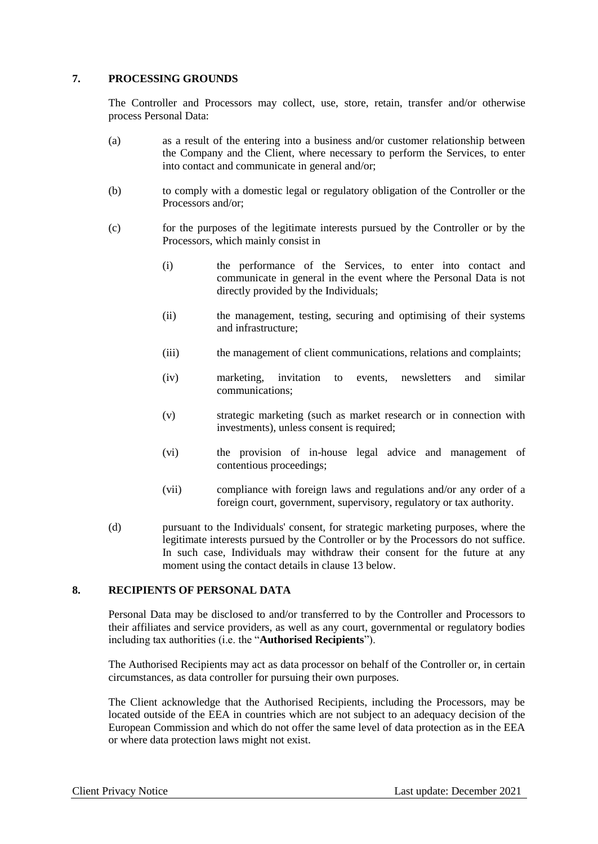### **7. PROCESSING GROUNDS**

The Controller and Processors may collect, use, store, retain, transfer and/or otherwise process Personal Data:

- (a) as a result of the entering into a business and/or customer relationship between the Company and the Client, where necessary to perform the Services, to enter into contact and communicate in general and/or;
- (b) to comply with a domestic legal or regulatory obligation of the Controller or the Processors and/or;
- (c) for the purposes of the legitimate interests pursued by the Controller or by the Processors, which mainly consist in
	- (i) the performance of the Services, to enter into contact and communicate in general in the event where the Personal Data is not directly provided by the Individuals;
	- (ii) the management, testing, securing and optimising of their systems and infrastructure;
	- (iii) the management of client communications, relations and complaints;
	- (iv) marketing, invitation to events, newsletters and similar communications;
	- (v) strategic marketing (such as market research or in connection with investments), unless consent is required;
	- (vi) the provision of in-house legal advice and management of contentious proceedings;
	- (vii) compliance with foreign laws and regulations and/or any order of a foreign court, government, supervisory, regulatory or tax authority.
- (d) pursuant to the Individuals' consent, for strategic marketing purposes, where the legitimate interests pursued by the Controller or by the Processors do not suffice. In such case, Individuals may withdraw their consent for the future at any moment using the contact details in clause 13 below.

### **8. RECIPIENTS OF PERSONAL DATA**

Personal Data may be disclosed to and/or transferred to by the Controller and Processors to their affiliates and service providers, as well as any court, governmental or regulatory bodies including tax authorities (i.e. the "**Authorised Recipients**").

The Authorised Recipients may act as data processor on behalf of the Controller or, in certain circumstances, as data controller for pursuing their own purposes.

The Client acknowledge that the Authorised Recipients, including the Processors, may be located outside of the EEA in countries which are not subject to an adequacy decision of the European Commission and which do not offer the same level of data protection as in the EEA or where data protection laws might not exist.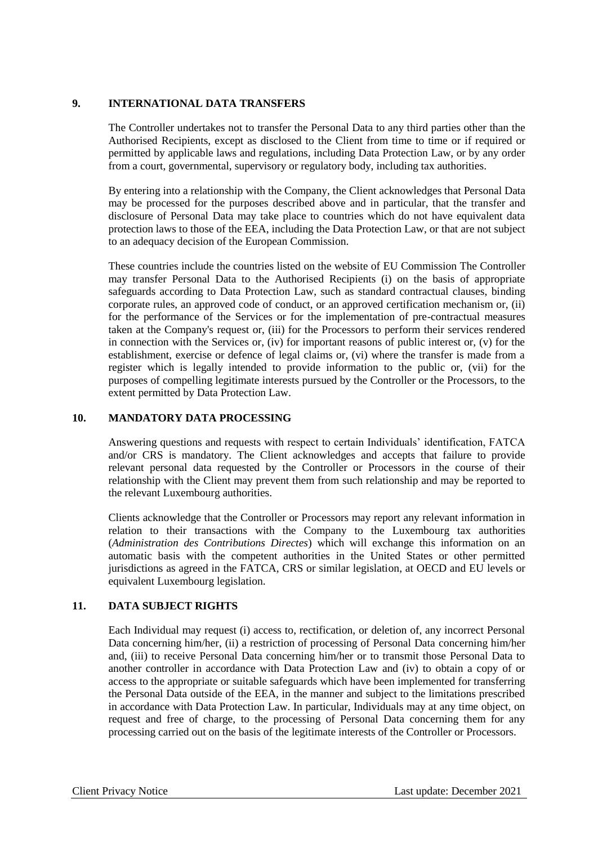## **9. INTERNATIONAL DATA TRANSFERS**

The Controller undertakes not to transfer the Personal Data to any third parties other than the Authorised Recipients, except as disclosed to the Client from time to time or if required or permitted by applicable laws and regulations, including Data Protection Law, or by any order from a court, governmental, supervisory or regulatory body, including tax authorities.

By entering into a relationship with the Company, the Client acknowledges that Personal Data may be processed for the purposes described above and in particular, that the transfer and disclosure of Personal Data may take place to countries which do not have equivalent data protection laws to those of the EEA, including the Data Protection Law, or that are not subject to an adequacy decision of the European Commission.

These countries include the countries listed on the website of EU Commission The Controller may transfer Personal Data to the Authorised Recipients (i) on the basis of appropriate safeguards according to Data Protection Law, such as standard contractual clauses, binding corporate rules, an approved code of conduct, or an approved certification mechanism or, (ii) for the performance of the Services or for the implementation of pre-contractual measures taken at the Company's request or, (iii) for the Processors to perform their services rendered in connection with the Services or, (iv) for important reasons of public interest or,  $(v)$  for the establishment, exercise or defence of legal claims or, (vi) where the transfer is made from a register which is legally intended to provide information to the public or, (vii) for the purposes of compelling legitimate interests pursued by the Controller or the Processors, to the extent permitted by Data Protection Law.

## **10. MANDATORY DATA PROCESSING**

Answering questions and requests with respect to certain Individuals' identification, FATCA and/or CRS is mandatory. The Client acknowledges and accepts that failure to provide relevant personal data requested by the Controller or Processors in the course of their relationship with the Client may prevent them from such relationship and may be reported to the relevant Luxembourg authorities.

Clients acknowledge that the Controller or Processors may report any relevant information in relation to their transactions with the Company to the Luxembourg tax authorities (*Administration des Contributions Directes*) which will exchange this information on an automatic basis with the competent authorities in the United States or other permitted jurisdictions as agreed in the FATCA, CRS or similar legislation, at OECD and EU levels or equivalent Luxembourg legislation.

# **11. DATA SUBJECT RIGHTS**

Each Individual may request (i) access to, rectification, or deletion of, any incorrect Personal Data concerning him/her, (ii) a restriction of processing of Personal Data concerning him/her and, (iii) to receive Personal Data concerning him/her or to transmit those Personal Data to another controller in accordance with Data Protection Law and (iv) to obtain a copy of or access to the appropriate or suitable safeguards which have been implemented for transferring the Personal Data outside of the EEA, in the manner and subject to the limitations prescribed in accordance with Data Protection Law. In particular, Individuals may at any time object, on request and free of charge, to the processing of Personal Data concerning them for any processing carried out on the basis of the legitimate interests of the Controller or Processors.